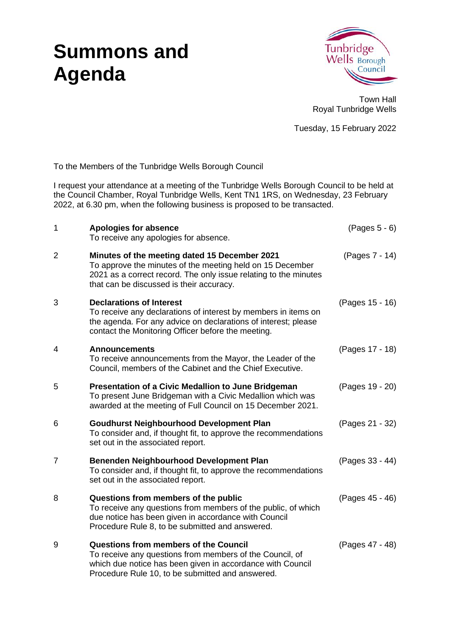# **Summons and Agenda**



Town Hall Royal Tunbridge Wells

Tuesday, 15 February 2022

To the Members of the Tunbridge Wells Borough Council

I request your attendance at a meeting of the Tunbridge Wells Borough Council to be held at the Council Chamber, Royal Tunbridge Wells, Kent TN1 1RS, on Wednesday, 23 February 2022, at 6.30 pm, when the following business is proposed to be transacted.

| $\mathbf{1}$   | <b>Apologies for absence</b><br>To receive any apologies for absence.                                                                                                                                                      | $(Pages 5 - 6)$ |
|----------------|----------------------------------------------------------------------------------------------------------------------------------------------------------------------------------------------------------------------------|-----------------|
| $\overline{2}$ | Minutes of the meeting dated 15 December 2021<br>To approve the minutes of the meeting held on 15 December<br>2021 as a correct record. The only issue relating to the minutes<br>that can be discussed is their accuracy. | (Pages 7 - 14)  |
| 3              | <b>Declarations of Interest</b><br>To receive any declarations of interest by members in items on<br>the agenda. For any advice on declarations of interest; please<br>contact the Monitoring Officer before the meeting.  | (Pages 15 - 16) |
| 4              | <b>Announcements</b><br>To receive announcements from the Mayor, the Leader of the<br>Council, members of the Cabinet and the Chief Executive.                                                                             | (Pages 17 - 18) |
| 5              | Presentation of a Civic Medallion to June Bridgeman<br>To present June Bridgeman with a Civic Medallion which was<br>awarded at the meeting of Full Council on 15 December 2021.                                           | (Pages 19 - 20) |
| 6              | <b>Goudhurst Neighbourhood Development Plan</b><br>To consider and, if thought fit, to approve the recommendations<br>set out in the associated report.                                                                    | (Pages 21 - 32) |
| $\overline{7}$ | Benenden Neighbourhood Development Plan<br>To consider and, if thought fit, to approve the recommendations<br>set out in the associated report.                                                                            | (Pages 33 - 44) |
| 8              | Questions from members of the public<br>To receive any questions from members of the public, of which<br>due notice has been given in accordance with Council<br>Procedure Rule 8, to be submitted and answered.           | (Pages 45 - 46) |
| 9              | Questions from members of the Council<br>To receive any questions from members of the Council, of<br>which due notice has been given in accordance with Council<br>Procedure Rule 10, to be submitted and answered.        | (Pages 47 - 48) |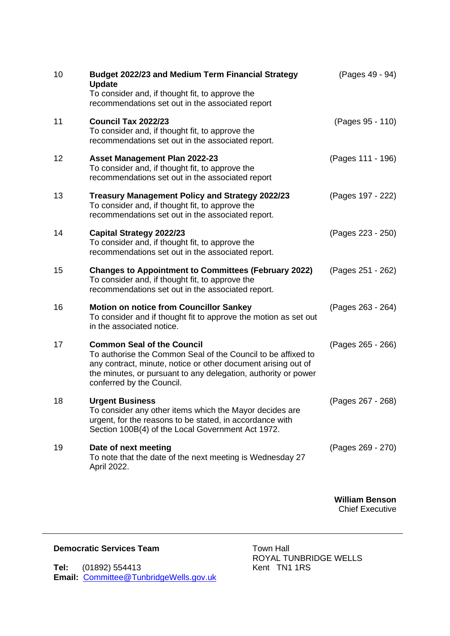| 10 | <b>Budget 2022/23 and Medium Term Financial Strategy</b><br><b>Update</b><br>To consider and, if thought fit, to approve the<br>recommendations set out in the associated report                                                                                  | (Pages 49 - 94)       |
|----|-------------------------------------------------------------------------------------------------------------------------------------------------------------------------------------------------------------------------------------------------------------------|-----------------------|
| 11 | <b>Council Tax 2022/23</b><br>To consider and, if thought fit, to approve the<br>recommendations set out in the associated report.                                                                                                                                | (Pages 95 - 110)      |
| 12 | Asset Management Plan 2022-23<br>To consider and, if thought fit, to approve the<br>recommendations set out in the associated report                                                                                                                              | (Pages 111 - 196)     |
| 13 | <b>Treasury Management Policy and Strategy 2022/23</b><br>To consider and, if thought fit, to approve the<br>recommendations set out in the associated report.                                                                                                    | (Pages 197 - 222)     |
| 14 | <b>Capital Strategy 2022/23</b><br>To consider and, if thought fit, to approve the<br>recommendations set out in the associated report.                                                                                                                           | (Pages 223 - 250)     |
| 15 | <b>Changes to Appointment to Committees (February 2022)</b><br>To consider and, if thought fit, to approve the<br>recommendations set out in the associated report.                                                                                               | (Pages 251 - 262)     |
| 16 | <b>Motion on notice from Councillor Sankey</b><br>To consider and if thought fit to approve the motion as set out<br>in the associated notice.                                                                                                                    | (Pages 263 - 264)     |
| 17 | <b>Common Seal of the Council</b><br>To authorise the Common Seal of the Council to be affixed to<br>any contract, minute, notice or other document arising out of<br>the minutes, or pursuant to any delegation, authority or power<br>conferred by the Council. | (Pages 265 - 266)     |
| 18 | <b>Urgent Business</b><br>To consider any other items which the Mayor decides are<br>urgent, for the reasons to be stated, in accordance with<br>Section 100B(4) of the Local Government Act 1972.                                                                | (Pages 267 - 268)     |
| 19 | Date of next meeting<br>To note that the date of the next meeting is Wednesday 27<br>April 2022.                                                                                                                                                                  | (Pages 269 - 270)     |
|    |                                                                                                                                                                                                                                                                   | <b>William Benson</b> |

Chief Executive

### **Democratic Services Team** Town Hall

**Tel:** (01892) 554413 Kent TN1 1RS **Email:** Committee@TunbridgeWells.gov.uk

ROYAL TUNBRIDGE WELLS<br>Kent TN1 1RS